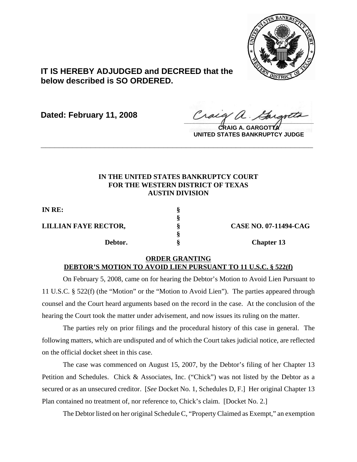

## **IT IS HEREBY ADJUDGED and DECREED that the below described is SO ORDERED.**

**Dated: February 11, 2008**

Craeg a. Garantta

**CRAIG A. GARGOTTA UNITED STATES BANKRUPTCY JUDGE**

## **IN THE UNITED STATES BANKRUPTCY COURT FOR THE WESTERN DISTRICT OF TEXAS AUSTIN DIVISION**

**\_\_\_\_\_\_\_\_\_\_\_\_\_\_\_\_\_\_\_\_\_\_\_\_\_\_\_\_\_\_\_\_\_\_\_\_\_\_\_\_\_\_\_\_\_\_\_\_\_\_\_\_\_\_\_\_\_\_\_\_**

**§**

**§**

**IN RE: §**

**LILLIAN FAYE RECTOR, § CASE NO. 07-11494-CAG** 

**Debtor.** § S Chapter 13

## **ORDER GRANTING DEBTOR'S MOTION TO AVOID LIEN PURSUANT TO 11 U.S.C. § 522(f)**

On February 5, 2008, came on for hearing the Debtor's Motion to Avoid Lien Pursuant to 11 U.S.C. § 522(f) (the "Motion" or the "Motion to Avoid Lien"). The parties appeared through counsel and the Court heard arguments based on the record in the case. At the conclusion of the hearing the Court took the matter under advisement, and now issues its ruling on the matter.

The parties rely on prior filings and the procedural history of this case in general. The following matters, which are undisputed and of which the Court takes judicial notice, are reflected on the official docket sheet in this case.

The case was commenced on August 15, 2007, by the Debtor's filing of her Chapter 13 Petition and Schedules. Chick & Associates, Inc. ("Chick") was not listed by the Debtor as a secured or as an unsecured creditor. [*See* Docket No. 1, Schedules D, F.] Her original Chapter 13 Plan contained no treatment of, nor reference to, Chick's claim. [Docket No. 2.]

The Debtor listed on her original Schedule C, "Property Claimed as Exempt," an exemption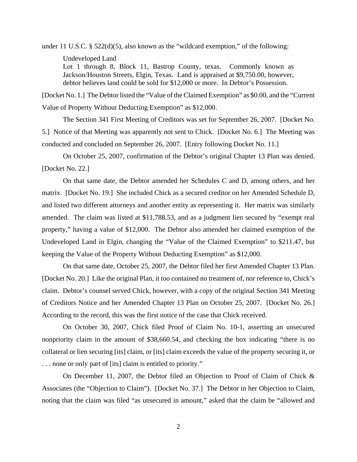under 11 U.S.C. § 522(d)(5), also known as the "wildcard exemption," of the following: Undeveloped Land Lot 1 through 8, Block 11, Bastrop County, texas. Commonly known as Jackson/Houston Streets, Elgin, Texas. Land is appraised at \$9,750.00, however, debtor believes land could be sold for \$12,000 or more. In Debtor's Possession.

[Docket No. 1.] The Debtor listed the "Value of the Claimed Exemption" as \$0.00, and the "Current Value of Property Without Deducting Exemption" as \$12,000.

The Section 341 First Meeting of Creditors was set for September 26, 2007. [Docket No. 5.] Notice of that Meeting was apparently not sent to Chick. [Docket No. 6.] The Meeting was conducted and concluded on September 26, 2007. [Entry following Docket No. 11.]

On October 25, 2007, confirmation of the Debtor's original Chapter 13 Plan was denied. [Docket No. 22.]

On that same date, the Debtor amended her Schedules C and D, among others, and her matrix. [Docket No. 19.] She included Chick as a secured creditor on her Amended Schedule D, and listed two different attorneys and another entity as representing it. Her matrix was similarly amended. The claim was listed at \$11,788.53, and as a judgment lien secured by "exempt real property," having a value of \$12,000. The Debtor also amended her claimed exemption of the Undeveloped Land in Elgin, changing the "Value of the Claimed Exemption" to \$211.47, but keeping the Value of the Property Without Deducting Exemption" as \$12,000.

On that same date, October 25, 2007, the Debtor filed her first Amended Chapter 13 Plan. [Docket No. 20.] Like the original Plan, it too contained no treatment of, nor reference to, Chick's claim. Debtor's counsel served Chick, however, with a copy of the original Section 341 Meeting of Creditors Notice and her Amended Chapter 13 Plan on October 25, 2007. [Docket No. 26.] According to the record, this was the first notice of the case that Chick received.

On October 30, 2007, Chick filed Proof of Claim No. 10-1, asserting an unsecured nonpriority claim in the amount of \$38,660.54, and checking the box indicating "there is no collateral or lien securing [its] claim, or [its] claim exceeds the value of the property securing it, or . . . none or only part of [its] claim is entitled to priority."

On December 11, 2007, the Debtor filed an Objection to Proof of Claim of Chick & Associates (the "Objection to Claim"). [Docket No. 37.] The Debtor in her Objection to Claim, noting that the claim was filed "as unsecured in amount," asked that the claim be "allowed and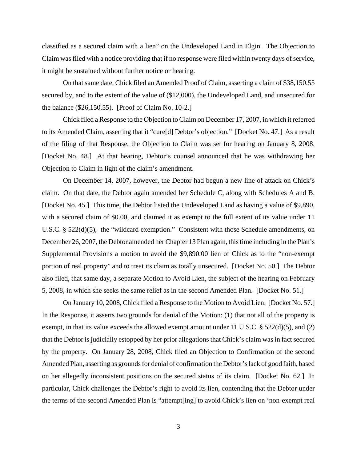classified as a secured claim with a lien" on the Undeveloped Land in Elgin. The Objection to Claim was filed with a notice providing that if no response were filed within twenty days of service, it might be sustained without further notice or hearing.

On that same date, Chick filed an Amended Proof of Claim, asserting a claim of \$38,150.55 secured by, and to the extent of the value of (\$12,000), the Undeveloped Land, and unsecured for the balance (\$26,150.55). [Proof of Claim No. 10-2.]

Chick filed a Response to the Objection to Claim on December 17, 2007, in which it referred to its Amended Claim, asserting that it "cure[d] Debtor's objection." [Docket No. 47.] As a result of the filing of that Response, the Objection to Claim was set for hearing on January 8, 2008. [Docket No. 48.] At that hearing, Debtor's counsel announced that he was withdrawing her Objection to Claim in light of the claim's amendment.

On December 14, 2007, however, the Debtor had begun a new line of attack on Chick's claim. On that date, the Debtor again amended her Schedule C, along with Schedules A and B. [Docket No. 45.] This time, the Debtor listed the Undeveloped Land as having a value of \$9,890, with a secured claim of \$0.00, and claimed it as exempt to the full extent of its value under 11 U.S.C. § 522(d)(5), the "wildcard exemption." Consistent with those Schedule amendments, on December 26, 2007, the Debtor amended her Chapter 13 Plan again, this time including in the Plan's Supplemental Provisions a motion to avoid the \$9,890.00 lien of Chick as to the "non-exempt portion of real property" and to treat its claim as totally unsecured. [Docket No. 50.] The Debtor also filed, that same day, a separate Motion to Avoid Lien, the subject of the hearing on February 5, 2008, in which she seeks the same relief as in the second Amended Plan. [Docket No. 51.]

On January 10, 2008, Chick filed a Response to the Motion to Avoid Lien. [Docket No. 57.] In the Response, it asserts two grounds for denial of the Motion: (1) that not all of the property is exempt, in that its value exceeds the allowed exempt amount under 11 U.S.C. § 522(d)(5), and (2) that the Debtor is judicially estopped by her prior allegations that Chick's claim was in fact secured by the property. On January 28, 2008, Chick filed an Objection to Confirmation of the second Amended Plan, asserting as grounds for denial of confirmation the Debtor's lack of good faith, based on her allegedly inconsistent positions on the secured status of its claim. [Docket No. 62.] In particular, Chick challenges the Debtor's right to avoid its lien, contending that the Debtor under the terms of the second Amended Plan is "attempt[ing] to avoid Chick's lien on 'non-exempt real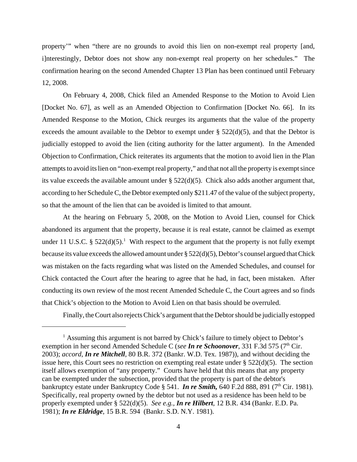property'" when "there are no grounds to avoid this lien on non-exempt real property [and, i]nterestingly, Debtor does not show any non-exempt real property on her schedules." The confirmation hearing on the second Amended Chapter 13 Plan has been continued until February 12, 2008.

On February 4, 2008, Chick filed an Amended Response to the Motion to Avoid Lien [Docket No. 67], as well as an Amended Objection to Confirmation [Docket No. 66]. In its Amended Response to the Motion, Chick reurges its arguments that the value of the property exceeds the amount available to the Debtor to exempt under  $\S$  522(d)(5), and that the Debtor is judicially estopped to avoid the lien (citing authority for the latter argument). In the Amended Objection to Confirmation, Chick reiterates its arguments that the motion to avoid lien in the Plan attempts to avoid its lien on "non-exempt real property," and that not all the property is exempt since its value exceeds the available amount under § 522(d)(5). Chick also adds another argument that, according to her Schedule C, the Debtor exempted only \$211.47 of the value of the subject property, so that the amount of the lien that can be avoided is limited to that amount.

At the hearing on February 5, 2008, on the Motion to Avoid Lien, counsel for Chick abandoned its argument that the property, because it is real estate, cannot be claimed as exempt under 11 U.S.C. §  $522(d)(5)$ .<sup>1</sup> With respect to the argument that the property is not fully exempt because its value exceeds the allowed amount under § 522(d)(5), Debtor's counsel argued that Chick was mistaken on the facts regarding what was listed on the Amended Schedules, and counsel for Chick contacted the Court after the hearing to agree that he had, in fact, been mistaken. After conducting its own review of the most recent Amended Schedule C, the Court agrees and so finds that Chick's objection to the Motion to Avoid Lien on that basis should be overruled.

Finally, the Court also rejects Chick's argument that the Debtor should be judicially estopped

<sup>&</sup>lt;sup>1</sup> Assuming this argument is not barred by Chick's failure to timely object to Debtor's exemption in her second Amended Schedule C (*see In re Schoonover*, 331 F.3d 575 (7<sup>th</sup> Cir. 2003); *accord*, *In re Mitchell*, 80 B.R. 372 (Bankr. W.D. Tex. 1987)), and without deciding the issue here, this Court sees no restriction on exempting real estate under § 522(d)(5). The section itself allows exemption of "any property." Courts have held that this means that any property can be exempted under the subsection, provided that the property is part of the debtor's bankruptcy estate under Bankruptcy Code § 541. *In re Smith*, 640 F.2d 888, 891 (7<sup>th</sup> Cir. 1981). Specifically, real property owned by the debtor but not used as a residence has been held to be properly exempted under § 522(d)(5). *See e.g., In re Hilbert*, 12 B.R. 434 (Bankr. E.D. Pa. 1981); *In re Eldridge*, 15 B.R. 594 (Bankr. S.D. N.Y. 1981).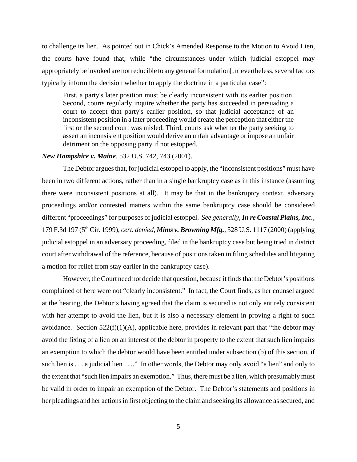to challenge its lien. As pointed out in Chick's Amended Response to the Motion to Avoid Lien, the courts have found that, while "the circumstances under which judicial estoppel may appropriately be invoked are not reducible to any general formulation[, n]evertheless, several factors typically inform the decision whether to apply the doctrine in a particular case":

First, a party's later position must be clearly inconsistent with its earlier position. Second, courts regularly inquire whether the party has succeeded in persuading a court to accept that party's earlier position, so that judicial acceptance of an inconsistent position in a later proceeding would create the perception that either the first or the second court was misled. Third, courts ask whether the party seeking to assert an inconsistent position would derive an unfair advantage or impose an unfair detriment on the opposing party if not estopped.

## *New Hampshire v. Maine,* 532 U.S. 742, 743 (2001).

The Debtor argues that, for judicial estoppel to apply, the "inconsistent positions" must have been in two different actions, rather than in a single bankruptcy case as in this instance (assuming there were inconsistent positions at all). It may be that in the bankruptcy context, adversary proceedings and/or contested matters within the same bankruptcy case should be considered different "proceedings" for purposes of judicial estoppel. *See generally, In re Coastal Plains, Inc.*, 179 F.3d 197 (5th Cir. 1999), *cert. denied, Mims v. Browning Mfg.*, 528 U.S. 1117 (2000) (applying judicial estoppel in an adversary proceeding, filed in the bankruptcy case but being tried in district court after withdrawal of the reference, because of positions taken in filing schedules and litigating a motion for relief from stay earlier in the bankruptcy case).

However, the Court need not decide that question, because it finds that the Debtor's positions complained of here were not "clearly inconsistent." In fact, the Court finds, as her counsel argued at the hearing, the Debtor's having agreed that the claim is secured is not only entirely consistent with her attempt to avoid the lien, but it is also a necessary element in proving a right to such avoidance. Section  $522(f)(1)(A)$ , applicable here, provides in relevant part that "the debtor may avoid the fixing of a lien on an interest of the debtor in property to the extent that such lien impairs an exemption to which the debtor would have been entitled under subsection (b) of this section, if such lien is . . . a judicial lien . . .." In other words, the Debtor may only avoid "a lien" and only to the extent that "such lien impairs an exemption." Thus, there must be a lien, which presumably must be valid in order to impair an exemption of the Debtor. The Debtor's statements and positions in her pleadings and her actions in first objecting to the claim and seeking its allowance as secured, and